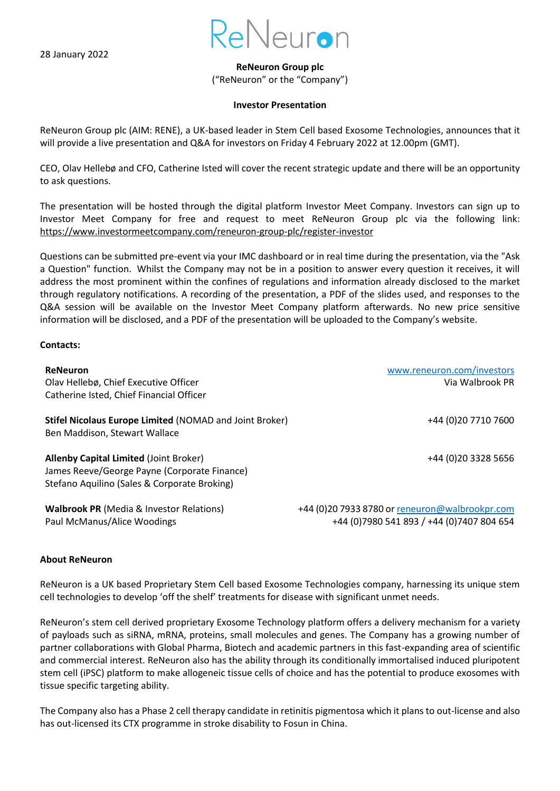

**ReNeuron Group plc**

("ReNeuron" or the "Company")

## **Investor Presentation**

ReNeuron Group plc (AIM: RENE), a UK-based leader in Stem Cell based Exosome Technologies, announces that it will provide a live presentation and Q&A for investors on Friday 4 February 2022 at 12.00pm (GMT).

CEO, Olav Hellebø and CFO, Catherine Isted will cover the recent strategic update and there will be an opportunity to ask questions.

The presentation will be hosted through the digital platform Investor Meet Company. Investors can sign up to Investor Meet Company for free and request to meet ReNeuron Group plc via the following link: <https://www.investormeetcompany.com/reneuron-group-plc/register-investor>

Questions can be submitted pre-event via your IMC dashboard or in real time during the presentation, via the "Ask a Question" function. Whilst the Company may not be in a position to answer every question it receives, it will address the most prominent within the confines of regulations and information already disclosed to the market through regulatory notifications. A recording of the presentation, a PDF of the slides used, and responses to the Q&A session will be available on the Investor Meet Company platform afterwards. No new price sensitive information will be disclosed, and a PDF of the presentation will be uploaded to the Company's website.

## **Contacts:**

| <b>ReNeuron</b><br>Olav Hellebø, Chief Executive Officer<br>Catherine Isted, Chief Financial Officer                                          | www.reneuron.com/investors<br>Via Walbrook PR                                                  |
|-----------------------------------------------------------------------------------------------------------------------------------------------|------------------------------------------------------------------------------------------------|
| Stifel Nicolaus Europe Limited (NOMAD and Joint Broker)<br>Ben Maddison, Stewart Wallace                                                      | +44 (0) 20 7710 7600                                                                           |
| <b>Allenby Capital Limited (Joint Broker)</b><br>James Reeve/George Payne (Corporate Finance)<br>Stefano Aquilino (Sales & Corporate Broking) | +44 (0) 20 3328 5656                                                                           |
| <b>Walbrook PR</b> (Media & Investor Relations)<br>Paul McManus/Alice Woodings                                                                | +44 (0) 20 7933 8780 or reneuron@walbrookpr.com<br>+44 (0) 7980 541 893 / +44 (0) 7407 804 654 |

## **About ReNeuron**

ReNeuron is a UK based Proprietary Stem Cell based Exosome Technologies company, harnessing its unique stem cell technologies to develop 'off the shelf' treatments for disease with significant unmet needs.

ReNeuron's stem cell derived proprietary Exosome Technology platform offers a delivery mechanism for a variety of payloads such as siRNA, mRNA, proteins, small molecules and genes. The Company has a growing number of partner collaborations with Global Pharma, Biotech and academic partners in this fast-expanding area of scientific and commercial interest. ReNeuron also has the ability through its conditionally immortalised induced pluripotent stem cell (iPSC) platform to make allogeneic tissue cells of choice and has the potential to produce exosomes with tissue specific targeting ability.

The Company also has a Phase 2 cell therapy candidate in retinitis pigmentosa which it plans to out-license and also has out-licensed its CTX programme in stroke disability to Fosun in China.